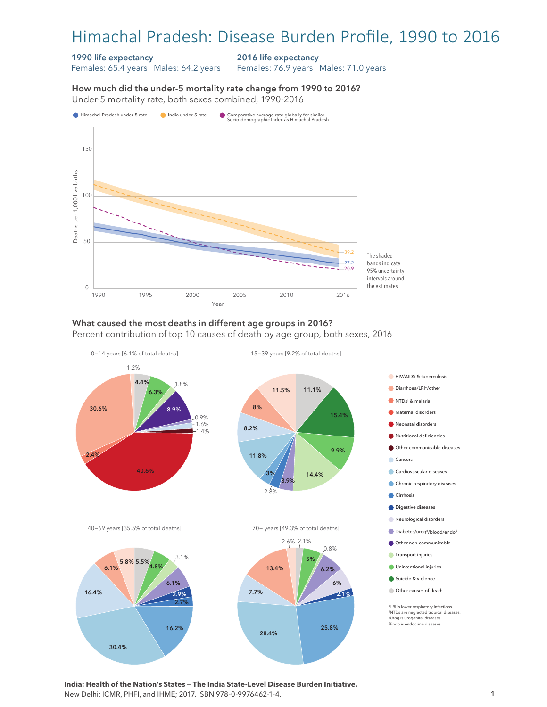# Himachal Pradesh: Disease Burden Profile, 1990 to 2016

#### 1990 life expectancy

Females: 65.4 years Males: 64.2 years

2016 life expectancy

Females: 76.9 years Males: 71.0 years

How much did the under-5 mortality rate change from 1990 to 2016? Under-5 mortality rate, both sexes combined, 1990-2016 Under-5 mortality rate, both sexes combined, 1990-2016 How much did the under-5 mortality rate change from 1990 to 2016?



### What caused the most deaths in different age groups in 2016?

Percent contribution of top 10 causes of death by age group, both sexes, 2016



**India: Health of the Nation's States — The India State-Level Disease Burden Initiative.**  New Delhi: ICMR, PHFI, and IHME; 2017. ISBN 978-0-9976462-1-4.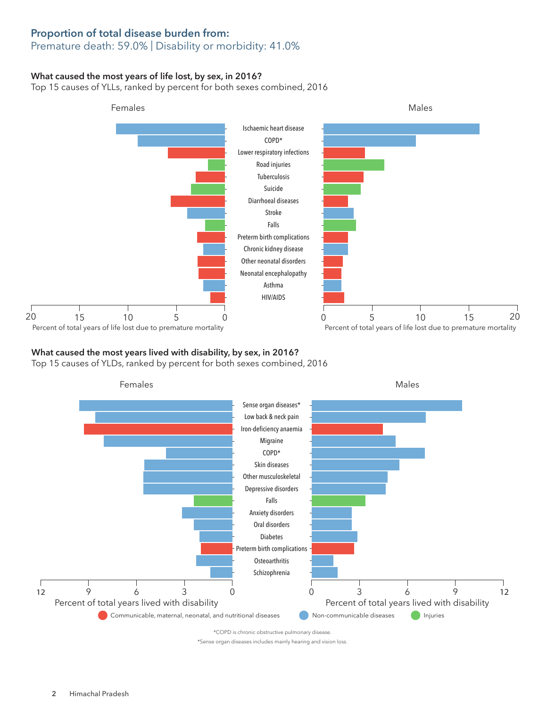## Proportion of total disease burden from:

### Premature death: 59.0% | Disability or morbidity: 41.0%

#### What caused the most years of life lost, by sex, in 2016?

Top 15 causes of YLLs, ranked by percent for both sexes combined, 2016



#### What caused the most years lived with disability, by sex, in 2016?

Top 15 causes of YLDs, ranked by percent for both sexes combined, 2016



\*Sense organ diseases includes mainly hearing and vision loss.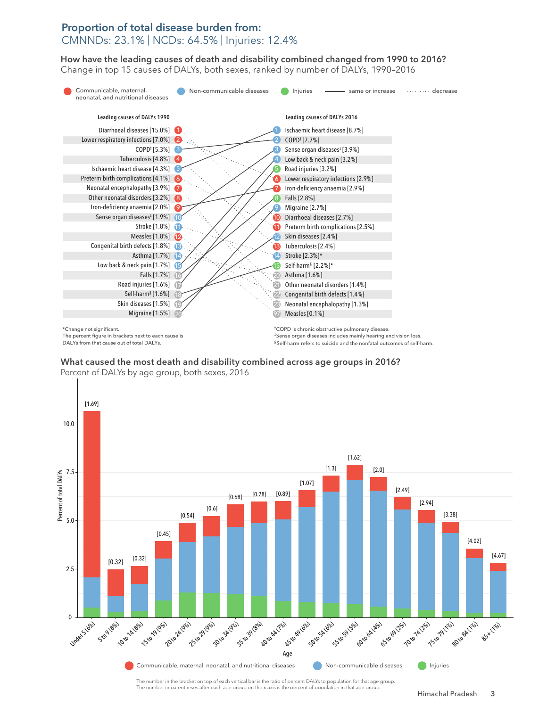## Proportion of total disease burden from: CMNNDs: 23.1% | NCDs: 64.5% | Injuries: 12.4%

How have the leading causes of death and disability combined changed from 1990 to 2016? How have the leading causes of death and disability combined changed from 1990 to 2016? Change in top 15 causes of DALYs, both sexes, ranked by number of DALYs, 1990–2016 Change in top 15 causes of DALYs, both sexes, ranked by number of DALYs, 1990–2016



The percent figure in brackets next to each cause is DALYs from that cause out of total DALYs.

‡Sense organ diseases includes mainly hearing and vision loss. § Self-harm refers to suicide and the nonfatal outcomes of self-harm.

What caused the most death and disability combined across age groups in 2016? What caused the most death and disability combined across age groups in 2016?  $\mathbf{P}$  percent of DALYS by a group, but and disability  $\mathbf{C}$ 12.5 Percent of DALYs by age group, both sexes, 2016



The number in parentheses after each age group on the x-axis is the percent of population in that age group.